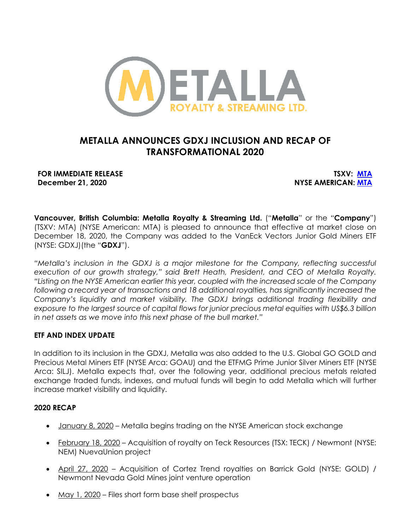

# **METALLA ANNOUNCES GDXJ INCLUSION AND RECAP OF TRANSFORMATIONAL 2020**

## **FOR IMMEDIATE RELEASE TSXV: MTA December 21, 2020 NYSE AMERICAN: MTA**

**Vancouver, British Columbia: Metalla Royalty & Streaming Ltd.** ("**Metalla**" or the "**Company**") (TSXV: MTA) (NYSE American: MTA) is pleased to announce that effective at market close on December 18, 2020, the Company was added to the VanEck Vectors Junior Gold Miners ETF (NYSE: GDXJ)(the "**GDXJ**").

*"Metalla's inclusion in the GDXJ is a major milestone for the Company, reflecting successful execution of our growth strategy," said Brett Heath, President, and CEO of Metalla Royalty. "Listing on the NYSE American earlier this year, coupled with the increased scale of the Company following a record year of transactions and 18 additional royalties, has significantly increased the Company's liquidity and market visibility. The GDXJ brings additional trading flexibility and exposure to the largest source of capital flows for junior precious metal equities with US\$6.3 billion in net assets as we move into this next phase of the bull market."*

# **ETF AND INDEX UPDATE**

In addition to its inclusion in the GDXJ, Metalla was also added to the U.S. Global GO GOLD and Precious Metal Miners ETF (NYSE Arca: GOAU) and the ETFMG Prime Junior Silver Miners ETF (NYSE Arca: SILJ). Metalla expects that, over the following year, additional precious metals related exchange traded funds, indexes, and mutual funds will begin to add Metalla which will further increase market visibility and liquidity.

# **2020 RECAP**

- January 8, 2020 Metalla begins trading on the NYSE American stock exchange
- February 18, 2020 Acquisition of royalty on Teck Resources (TSX: TECK) / Newmont (NYSE: NEM) NuevaUnion project
- April 27, 2020 Acquisition of Cortez Trend royalties on Barrick Gold (NYSE: GOLD) / Newmont Nevada Gold Mines joint venture operation
- May 1, 2020 Files short form base shelf prospectus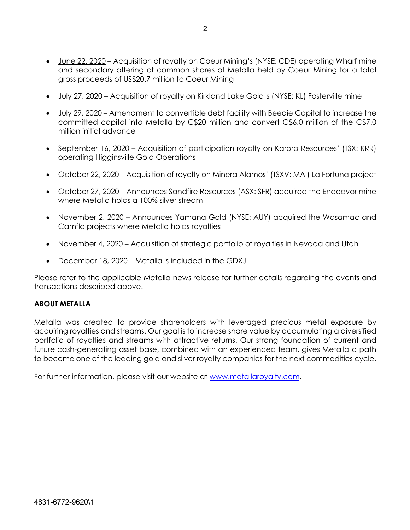- June 22, 2020 Acquisition of royalty on Coeur Mining's (NYSE: CDE) operating Wharf mine and secondary offering of common shares of Metalla held by Coeur Mining for a total gross proceeds of US\$20.7 million to Coeur Mining
- July 27, 2020 Acquisition of royalty on Kirkland Lake Gold's (NYSE: KL) Fosterville mine
- July 29, 2020 Amendment to convertible debt facility with Beedie Capital to increase the committed capital into Metalla by C\$20 million and convert C\$6.0 million of the C\$7.0 million initial advance
- September 16, 2020 Acquisition of participation royalty on Karora Resources' (TSX: KRR) operating Higginsville Gold Operations
- October 22, 2020 Acquisition of royalty on Minera Alamos' (TSXV: MAI) La Fortuna project
- October 27, 2020 Announces Sandfire Resources (ASX: SFR) acquired the Endeavor mine where Metalla holds a 100% silver stream
- November 2, 2020 Announces Yamana Gold (NYSE: AUY) acquired the Wasamac and Camflo projects where Metalla holds royalties
- November 4, 2020 Acquisition of strategic portfolio of royalties in Nevada and Utah
- December 18, 2020 Metalla is included in the GDXJ

Please refer to the applicable Metalla news release for further details regarding the events and transactions described above.

# **ABOUT METALLA**

Metalla was created to provide shareholders with leveraged precious metal exposure by acquiring royalties and streams. Our goal is to increase share value by accumulating a diversified portfolio of royalties and streams with attractive returns. Our strong foundation of current and future cash-generating asset base, combined with an experienced team, gives Metalla a path to become one of the leading gold and silver royalty companies for the next commodities cycle.

For further information, please visit our website at www.metallaroyalty.com.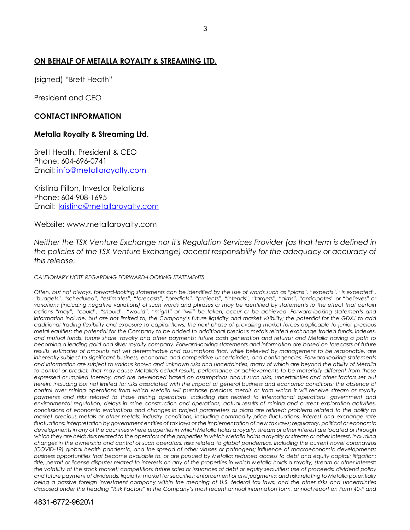# **ON BEHALF OF METALLA ROYALTY & STREAMING LTD.**

(signed) "Brett Heath"

President and CEO

## **CONTACT INFORMATION**

#### **Metalla Royalty & Streaming Ltd.**

Brett Heath, President & CEO Phone: 604-696-0741 Email: info@metallaroyalty.com

Kristina Pillon, Investor Relations Phone: 604-908-1695 Email: kristina@metallaroyalty.com

Website: www.metallaroyalty.com

*Neither the TSX Venture Exchange nor it's Regulation Services Provider (as that term is defined in the policies of the TSX Venture Exchange) accept responsibility for the adequacy or accuracy of this release.*

#### *CAUTIONARY NOTE REGARDING FORWARD-LOOKING STATEMENTS*

*Often, but not always, forward-looking statements can be identified by the use of words such as "plans", "expects", "is expected", "budgets", "scheduled", "estimates", "forecasts", "predicts", "projects", "intends", "targets", "aims", "anticipates" or "believes" or variations (including negative variations) of such words and phrases or may be identified by statements to the effect that certain actions "may", "could", "should", "would", "might" or "will" be taken, occur or be achieved. Forward-looking statements and information include, but are not limited to, the Company's future liquidity and market visibility; the potential for the GDXJ to add additional trading flexibility and exposure to capital flows; the next phase of prevailing market forces applicable to junior precious metal equities; the potential for the Company to be added to additional precious metals related exchange traded funds, indexes, and mutual funds; future share, royalty and other payments; future cash generation and returns; and Metalla having a path to becoming a leading gold and silver royalty company. Forward-looking statements and information are based on forecasts of future*  results, estimates of amounts not yet determinable and assumptions that, while believed by management to be reasonable, are *inherently subject to significant business, economic and competitive uncertainties, and contingencies. Forward-looking statements and information are subject to various known and unknown risks and uncertainties, many of which are beyond the ability of Metalla to control or predict, that may cause Metalla's actual results, performance or achievements to be materially different from those expressed or implied thereby, and are developed based on assumptions about such risks, uncertainties and other factors set out herein, including but not limited to: risks associated with the impact of general business and economic conditions; the absence of control over mining operations from which Metalla will purchase precious metals or from which it will receive stream or royalty payments and risks related to those mining operations, including risks related to international operations, government and environmental regulation, delays in mine construction and operations, actual results of mining and current exploration activities, conclusions of economic evaluations and changes in project parameters as plans are refined; problems related to the ability to market precious metals or other metals; industry conditions, including commodity price fluctuations, interest and exchange rate fluctuations; interpretation by government entities of tax laws or the implementation of new tax laws; regulatory, political or economic developments in any of the countries where properties in which Metalla holds a royalty, stream or other interest are located or through*  which they are held; risks related to the operators of the properties in which Metalla holds a royalty or stream or other interest, including *changes in the ownership and control of such operators; risks related to global pandemics, including the current novel coronavirus (COVID-19) global health pandemic, and the spread of other viruses or pathogens; influence of macroeconomic developments; business opportunities that become available to, or are pursued by Metalla; reduced access to debt and equity capital; litigation; title, permit or license disputes related to interests on any of the properties in which Metalla holds a royalty, stream or other interest; the volatility of the stock market; competition; future sales or issuances of debt or equity securities; use of proceeds; dividend policy and future payment of dividends; liquidity; market for securities; enforcement of civil judgments; and risks relating to Metalla potentially being a passive foreign investment company within the meaning of U.S. federal tax laws; and the other risks and uncertainties disclosed under the heading "Risk Factors" in the Company's most recent annual information form, annual report on Form 40-F and* 

#### 4831-6772-9620\1